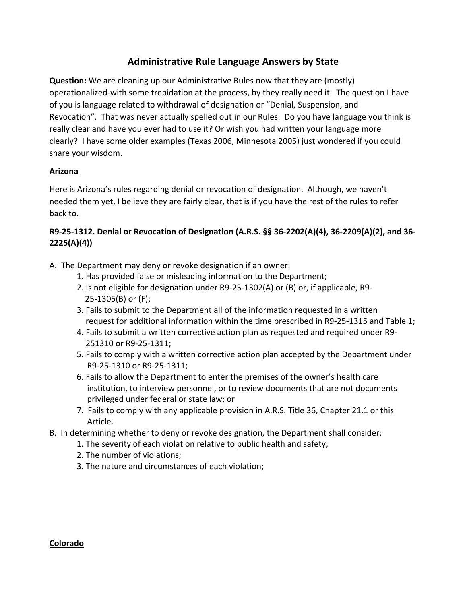# **Administrative Rule Language Answers by State**

**Question:** We are cleaning up our Administrative Rules now that they are (mostly) operationalized-with some trepidation at the process, by they really need it. The question I have of you is language related to withdrawal of designation or "Denial, Suspension, and Revocation". That was never actually spelled out in our Rules. Do you have language you think is really clear and have you ever had to use it? Or wish you had written your language more clearly? I have some older examples (Texas 2006, Minnesota 2005) just wondered if you could share your wisdom.

### **Arizona**

Here is Arizona's rules regarding denial or revocation of designation. Although, we haven't needed them yet, I believe they are fairly clear, that is if you have the rest of the rules to refer back to.

## **R9-25-1312. Denial or Revocation of Designation (A.R.S. §§ 36-2202(A)(4), 36-2209(A)(2), and 36-2225(A)(4))**

- A. The Department may deny or revoke designation if an owner:
	- 1. Has provided false or misleading information to the Department;
	- 2. Is not eligible for designation under  $R9-25-1302(A)$  or (B) or, if applicable, R9- $25-1305(B)$  or  $(F)$ ;
	- 3. Fails to submit to the Department all of the information requested in a written request for additional information within the time prescribed in R9-25-1315 and Table 1;
	- 4. Fails to submit a written corrective action plan as requested and required under R9-251310 or R9-25-1311;
	- 5. Fails to comply with a written corrective action plan accepted by the Department under R9-25-1310 or R9-25-1311;
	- 6. Fails to allow the Department to enter the premises of the owner's health care institution, to interview personnel, or to review documents that are not documents privileged under federal or state law; or
	- 7. Fails to comply with any applicable provision in A.R.S. Title 36, Chapter 21.1 or this Article.
- B. In determining whether to deny or revoke designation, the Department shall consider:
	- 1. The severity of each violation relative to public health and safety;
	- 2. The number of violations;
	- 3. The nature and circumstances of each violation;

#### **Colorado**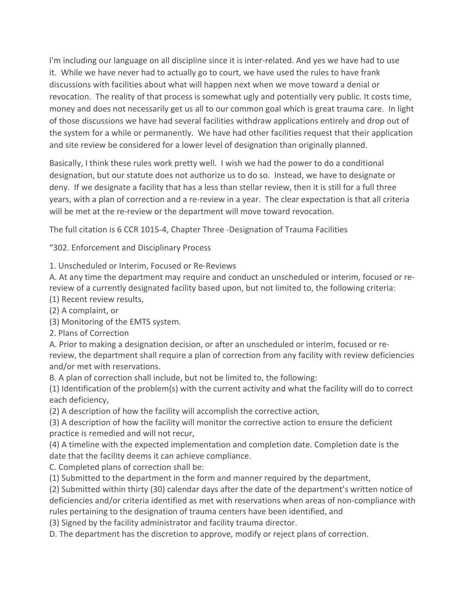I'm including our language on all discipline since it is inter-related. And yes we have had to use it. While we have never had to actually go to court, we have used the rules to have frank discussions with facilities about what will happen next when we move toward a denial or revocation. The reality of that process is somewhat ugly and potentially very public. It costs time, money and does not necessarily get us all to our common goal which is great trauma care. In light of those discussions we have had several facilities withdraw applications entirely and drop out of the system for a while or permanently. We have had other facilities request that their application and site review be considered for a lower level of designation than originally planned.

Basically, I think these rules work pretty well. I wish we had the power to do a conditional designation, but our statute does not authorize us to do so. Instead, we have to designate or deny. If we designate a facility that has a less than stellar review, then it is still for a full three years, with a plan of correction and a re-review in a year. The clear expectation is that all criteria will be met at the re-review or the department will move toward revocation.

The full citation is 6 CCR 1015-4, Chapter Three -Designation of Trauma Facilities

"302. Enforcement and Disciplinary Process

1. Unscheduled or Interim, Focused or Re-Reviews

A. At any time the department may require and conduct an unscheduled or interim, focused or rereview of a currently designated facility based upon, but not limited to, the following criteria: (1) Recent review results,

(2) A complaint, or

(3) Monitoring of the EMTS system.

2. Plans of Correction

A. Prior to making a designation decision, or after an unscheduled or interim, focused or rereview, the department shall require a plan of correction from any facility with review deficiencies and/or met with reservations.

B. A plan of correction shall include, but not be limited to, the following:

 $(1)$  Identification of the problem(s) with the current activity and what the facility will do to correct each deficiency,

(2) A description of how the facility will accomplish the corrective action,

(3) A description of how the facility will monitor the corrective action to ensure the deficient practice is remedied and will not recur,

(4) A timeline with the expected implementation and completion date. Completion date is the date that the facility deems it can achieve compliance.

C. Completed plans of correction shall be:

(1) Submitted to the department in the form and manner required by the department,

(2) Submitted within thirty (30) calendar days after the date of the department's written notice of deficiencies and/or criteria identified as met with reservations when areas of non-compliance with rules pertaining to the designation of trauma centers have been identified, and

(3) Signed by the facility administrator and facility trauma director.

D. The department has the discretion to approve, modify or reject plans of correction.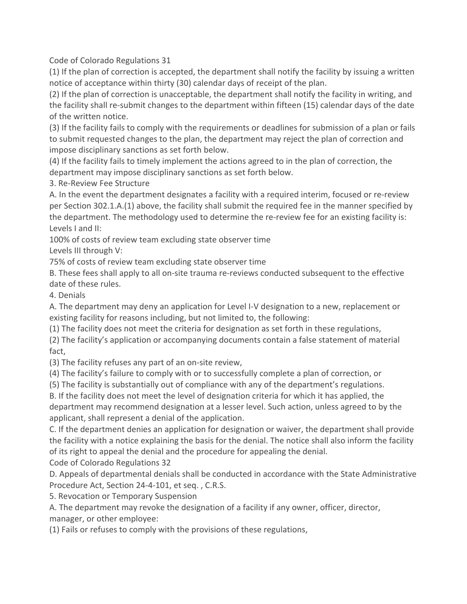Code of Colorado Regulations 31

 $(1)$  If the plan of correction is accepted, the department shall notify the facility by issuing a written notice of acceptance within thirty (30) calendar days of receipt of the plan.

(2) If the plan of correction is unacceptable, the department shall notify the facility in writing, and the facility shall re-submit changes to the department within fifteen (15) calendar days of the date of the written notice.

(3) If the facility fails to comply with the requirements or deadlines for submission of a plan or fails to submit requested changes to the plan, the department may reject the plan of correction and impose disciplinary sanctions as set forth below.

(4) If the facility fails to timely implement the actions agreed to in the plan of correction, the department may impose disciplinary sanctions as set forth below.

3. Re-Review Fee Structure

A. In the event the department designates a facility with a required interim, focused or re-review per Section 302.1.A.(1) above, the facility shall submit the required fee in the manner specified by the department. The methodology used to determine the re-review fee for an existing facility is: Levels I and II:

100% of costs of review team excluding state observer time Levels III through V:

75% of costs of review team excluding state observer time

B. These fees shall apply to all on-site trauma re-reviews conducted subsequent to the effective date of these rules.

4. Denials

A. The department may deny an application for Level I-V designation to a new, replacement or existing facility for reasons including, but not limited to, the following:

 $(1)$  The facility does not meet the criteria for designation as set forth in these regulations,

(2) The facility's application or accompanying documents contain a false statement of material fact,

(3) The facility refuses any part of an on-site review,

(4) The facility's failure to comply with or to successfully complete a plan of correction, or

(5) The facility is substantially out of compliance with any of the department's regulations.

B. If the facility does not meet the level of designation criteria for which it has applied, the department may recommend designation at a lesser level. Such action, unless agreed to by the applicant, shall represent a denial of the application.

C. If the department denies an application for designation or waiver, the department shall provide the facility with a notice explaining the basis for the denial. The notice shall also inform the facility of its right to appeal the denial and the procedure for appealing the denial.

Code of Colorado Regulations 32

D. Appeals of departmental denials shall be conducted in accordance with the State Administrative Procedure Act, Section 24-4-101, et seq., C.R.S.

5. Revocation or Temporary Suspension

A. The department may revoke the designation of a facility if any owner, officer, director, manager, or other employee:

(1) Fails or refuses to comply with the provisions of these regulations,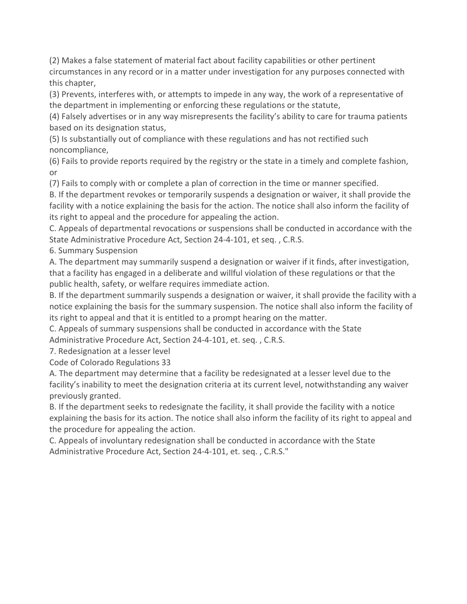(2) Makes a false statement of material fact about facility capabilities or other pertinent circumstances in any record or in a matter under investigation for any purposes connected with this chapter,

(3) Prevents, interferes with, or attempts to impede in any way, the work of a representative of the department in implementing or enforcing these regulations or the statute,

(4) Falsely advertises or in any way misrepresents the facility's ability to care for trauma patients based on its designation status,

(5) Is substantially out of compliance with these regulations and has not rectified such noncompliance,

(6) Fails to provide reports required by the registry or the state in a timely and complete fashion, or

(7) Fails to comply with or complete a plan of correction in the time or manner specified.

B. If the department revokes or temporarily suspends a designation or waiver, it shall provide the facility with a notice explaining the basis for the action. The notice shall also inform the facility of its right to appeal and the procedure for appealing the action.

C. Appeals of departmental revocations or suspensions shall be conducted in accordance with the State Administrative Procedure Act, Section 24-4-101, et seq., C.R.S.

6. Summary Suspension

A. The department may summarily suspend a designation or waiver if it finds, after investigation, that a facility has engaged in a deliberate and willful violation of these regulations or that the public health, safety, or welfare requires immediate action.

B. If the department summarily suspends a designation or waiver, it shall provide the facility with a notice explaining the basis for the summary suspension. The notice shall also inform the facility of its right to appeal and that it is entitled to a prompt hearing on the matter.

C. Appeals of summary suspensions shall be conducted in accordance with the State

Administrative Procedure Act, Section 24-4-101, et. seq., C.R.S.

7. Redesignation at a lesser level

Code of Colorado Regulations 33

A. The department may determine that a facility be redesignated at a lesser level due to the facility's inability to meet the designation criteria at its current level, notwithstanding any waiver previously granted.

B. If the department seeks to redesignate the facility, it shall provide the facility with a notice explaining the basis for its action. The notice shall also inform the facility of its right to appeal and the procedure for appealing the action.

C. Appeals of involuntary redesignation shall be conducted in accordance with the State Administrative Procedure Act, Section 24-4-101, et. seq., C.R.S."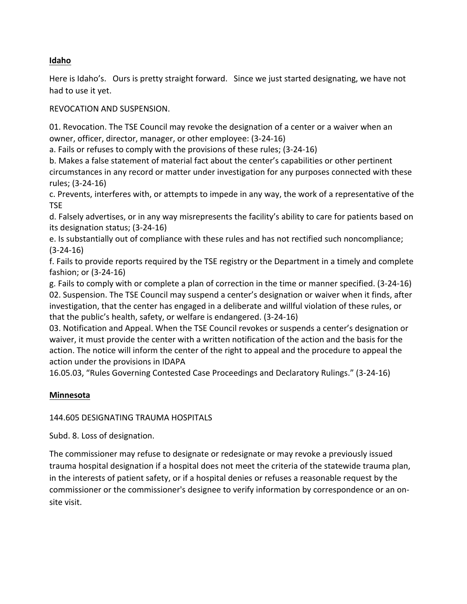### **Idaho**

Here is Idaho's. Ours is pretty straight forward. Since we just started designating, we have not had to use it yet.

REVOCATION AND SUSPENSION.

01. Revocation. The TSE Council may revoke the designation of a center or a waiver when an owner, officer, director, manager, or other employee: (3-24-16)

a. Fails or refuses to comply with the provisions of these rules; (3-24-16)

b. Makes a false statement of material fact about the center's capabilities or other pertinent circumstances in any record or matter under investigation for any purposes connected with these rules; (3-24-16)

c. Prevents, interferes with, or attempts to impede in any way, the work of a representative of the TSE

d. Falsely advertises, or in any way misrepresents the facility's ability to care for patients based on its designation status; (3-24-16)

e. Is substantially out of compliance with these rules and has not rectified such noncompliance; (3-24-16)

f. Fails to provide reports required by the TSE registry or the Department in a timely and complete fashion; or (3-24-16)

g. Fails to comply with or complete a plan of correction in the time or manner specified. (3-24-16) 02. Suspension. The TSE Council may suspend a center's designation or waiver when it finds, after investigation, that the center has engaged in a deliberate and willful violation of these rules, or that the public's health, safety, or welfare is endangered.  $(3-24-16)$ 

03. Notification and Appeal. When the TSE Council revokes or suspends a center's designation or waiver, it must provide the center with a written notification of the action and the basis for the action. The notice will inform the center of the right to appeal and the procedure to appeal the action under the provisions in IDAPA

16.05.03, "Rules Governing Contested Case Proceedings and Declaratory Rulings." (3-24-16)

## **Minnesota**

### 144.605 DESIGNATING TRAUMA HOSPITALS

Subd. 8. Loss of designation.

The commissioner may refuse to designate or redesignate or may revoke a previously issued trauma hospital designation if a hospital does not meet the criteria of the statewide trauma plan, in the interests of patient safety, or if a hospital denies or refuses a reasonable request by the commissioner or the commissioner's designee to verify information by correspondence or an onsite visit.